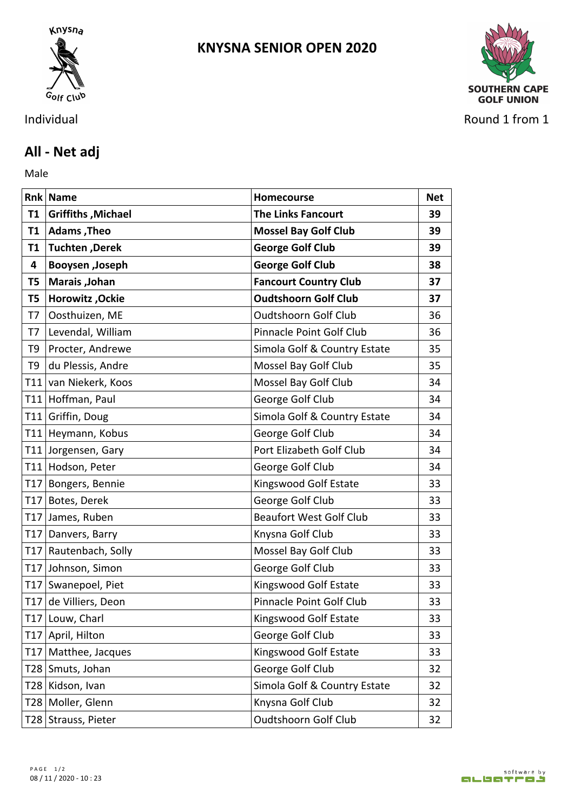

## **KNYSNA SENIOR OPEN 2020**



Individual Round 1 from 1

## **All - Net adj**

Male **Male** 

|           | <b>Rnk Name</b>           | Homecourse                     | <b>Net</b> |
|-----------|---------------------------|--------------------------------|------------|
| <b>T1</b> | <b>Griffiths, Michael</b> | <b>The Links Fancourt</b>      | 39         |
|           | T1   Adams, Theo          | <b>Mossel Bay Golf Club</b>    | 39         |
| T1        | Tuchten, Derek            | <b>George Golf Club</b>        | 39         |
| 4         | Booysen , Joseph          | <b>George Golf Club</b>        | 38         |
| T5        | Marais , Johan            | <b>Fancourt Country Club</b>   | 37         |
| T5        | Horowitz , Ockie          | <b>Oudtshoorn Golf Club</b>    | 37         |
| T7        | Oosthuizen, ME            | <b>Oudtshoorn Golf Club</b>    | 36         |
| T7        | Levendal, William         | Pinnacle Point Golf Club       | 36         |
|           | T9   Procter, Andrewe     | Simola Golf & Country Estate   | 35         |
| T9        | du Plessis, Andre         | Mossel Bay Golf Club           | 35         |
|           | T11 van Niekerk, Koos     | Mossel Bay Golf Club           | 34         |
|           | T11 Hoffman, Paul         | George Golf Club               | 34         |
|           | T11 Griffin, Doug         | Simola Golf & Country Estate   | 34         |
|           | T11 Heymann, Kobus        | George Golf Club               | 34         |
|           | T11 Jorgensen, Gary       | Port Elizabeth Golf Club       | 34         |
|           | T11 Hodson, Peter         | George Golf Club               | 34         |
|           | T17 Bongers, Bennie       | Kingswood Golf Estate          | 33         |
|           | T17 Botes, Derek          | George Golf Club               | 33         |
|           | T17 James, Ruben          | <b>Beaufort West Golf Club</b> | 33         |
|           | T17 Danvers, Barry        | Knysna Golf Club               | 33         |
|           | T17 Rautenbach, Solly     | Mossel Bay Golf Club           | 33         |
|           | T17 Johnson, Simon        | George Golf Club               | 33         |
|           | T17 Swanepoel, Piet       | Kingswood Golf Estate          | 33         |
|           | T17 de Villiers, Deon     | Pinnacle Point Golf Club       | 33         |
|           | T17 Louw, Charl           | Kingswood Golf Estate          | 33         |
|           | T17   April, Hilton       | George Golf Club               | 33         |
|           | T17 Matthee, Jacques      | Kingswood Golf Estate          | 33         |
|           | T28 Smuts, Johan          | George Golf Club               | 32         |
|           | T28 Kidson, Ivan          | Simola Golf & Country Estate   | 32         |
|           | T28 Moller, Glenn         | Knysna Golf Club               | 32         |
|           | T28 Strauss, Pieter       | Oudtshoorn Golf Club           | 32         |